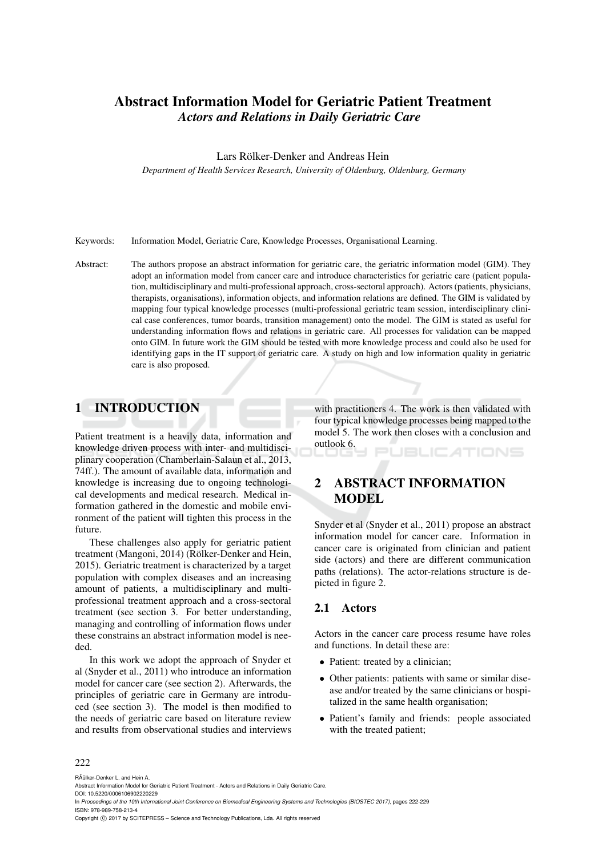# Abstract Information Model for Geriatric Patient Treatment *Actors and Relations in Daily Geriatric Care*

Lars Rölker-Denker and Andreas Hein

*Department of Health Services Research, University of Oldenburg, Oldenburg, Germany*

Keywords: Information Model, Geriatric Care, Knowledge Processes, Organisational Learning.

Abstract: The authors propose an abstract information for geriatric care, the geriatric information model (GIM). They adopt an information model from cancer care and introduce characteristics for geriatric care (patient population, multidisciplinary and multi-professional approach, cross-sectoral approach). Actors (patients, physicians, therapists, organisations), information objects, and information relations are defined. The GIM is validated by mapping four typical knowledge processes (multi-professional geriatric team session, interdisciplinary clinical case conferences, tumor boards, transition management) onto the model. The GIM is stated as useful for understanding information flows and relations in geriatric care. All processes for validation can be mapped onto GIM. In future work the GIM should be tested with more knowledge process and could also be used for identifying gaps in the IT support of geriatric care. A study on high and low information quality in geriatric care is also proposed.

## 1 INTRODUCTION

Patient treatment is a heavily data, information and knowledge driven process with inter- and multidisciplinary cooperation (Chamberlain-Salaun et al., 2013, 74ff.). The amount of available data, information and knowledge is increasing due to ongoing technological developments and medical research. Medical information gathered in the domestic and mobile environment of the patient will tighten this process in the future.

These challenges also apply for geriatric patient treatment (Mangoni, 2014) (Rölker-Denker and Hein, 2015). Geriatric treatment is characterized by a target population with complex diseases and an increasing amount of patients, a multidisciplinary and multiprofessional treatment approach and a cross-sectoral treatment (see section 3. For better understanding, managing and controlling of information flows under these constrains an abstract information model is needed.

In this work we adopt the approach of Snyder et al (Snyder et al., 2011) who introduce an information model for cancer care (see section 2). Afterwards, the principles of geriatric care in Germany are introduced (see section 3). The model is then modified to the needs of geriatric care based on literature review and results from observational studies and interviews

with practitioners 4. The work is then validated with four typical knowledge processes being mapped to the model 5. The work then closes with a conclusion and outlook 6. **JBLICATIONS** 

# 2 ABSTRACT INFORMATION MODEL

Snyder et al (Snyder et al., 2011) propose an abstract information model for cancer care. Information in cancer care is originated from clinician and patient side (actors) and there are different communication paths (relations). The actor-relations structure is depicted in figure 2.

#### 2.1 Actors

Actors in the cancer care process resume have roles and functions. In detail these are:

- Patient: treated by a clinician;
- Other patients: patients with same or similar disease and/or treated by the same clinicians or hospitalized in the same health organisation;
- Patient's family and friends: people associated with the treated patient;

#### 222

RÃ˝ulker-Denker L. and Hein A.

In *Proceedings of the 10th International Joint Conference on Biomedical Engineering Systems and Technologies (BIOSTEC 2017)*, pages 222-229 ISBN: 978-989-758-213-4

Abstract Information Model for Geriatric Patient Treatment - Actors and Relations in Daily Geriatric Care.

DOI: 10.5220/0006106902220229

Copyright © 2017 by SCITEPRESS - Science and Technology Publications, Lda. All rights reserved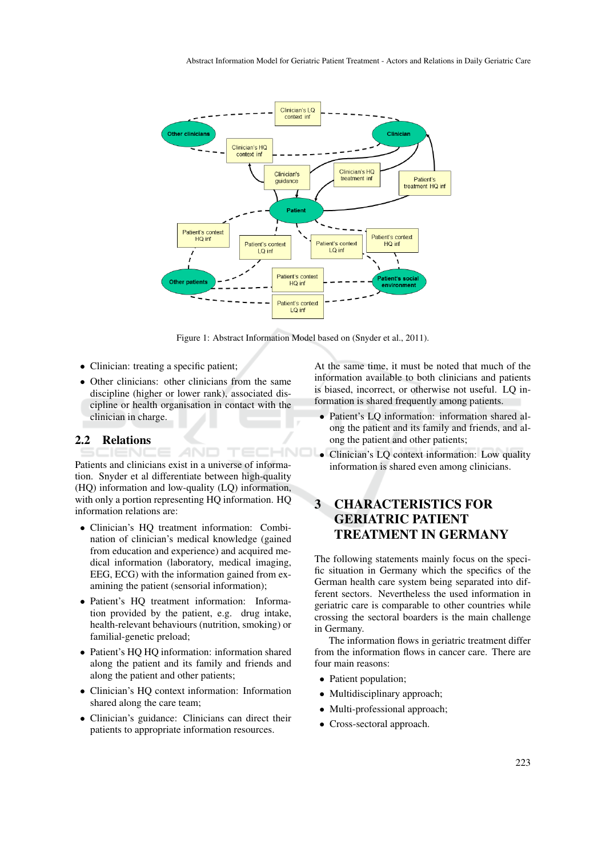

Figure 1: Abstract Information Model based on (Snyder et al., 2011).

- Clinician: treating a specific patient;
- Other clinicians: other clinicians from the same discipline (higher or lower rank), associated discipline or health organisation in contact with the clinician in charge.

### 2.2 Relations

Patients and clinicians exist in a universe of information. Snyder et al differentiate between high-quality (HQ) information and low-quality (LQ) information, with only a portion representing HQ information. HQ information relations are:

AND

- Clinician's HQ treatment information: Combination of clinician's medical knowledge (gained from education and experience) and acquired medical information (laboratory, medical imaging, EEG, ECG) with the information gained from examining the patient (sensorial information);
- Patient's HQ treatment information: Information provided by the patient, e.g. drug intake, health-relevant behaviours (nutrition, smoking) or familial-genetic preload;
- Patient's HQ HQ information: information shared along the patient and its family and friends and along the patient and other patients;
- Clinician's HQ context information: Information shared along the care team;
- Clinician's guidance: Clinicians can direct their patients to appropriate information resources.

At the same time, it must be noted that much of the information available to both clinicians and patients is biased, incorrect, or otherwise not useful. LQ information is shared frequently among patients.

- Patient's LQ information: information shared along the patient and its family and friends, and along the patient and other patients;
- Clinician's LQ context information: Low quality information is shared even among clinicians.

## 3 CHARACTERISTICS FOR GERIATRIC PATIENT TREATMENT IN GERMANY

The following statements mainly focus on the specific situation in Germany which the specifics of the German health care system being separated into different sectors. Nevertheless the used information in geriatric care is comparable to other countries while crossing the sectoral boarders is the main challenge in Germany.

The information flows in geriatric treatment differ from the information flows in cancer care. There are four main reasons:

- Patient population;
- Multidisciplinary approach;
- Multi-professional approach;
- Cross-sectoral approach.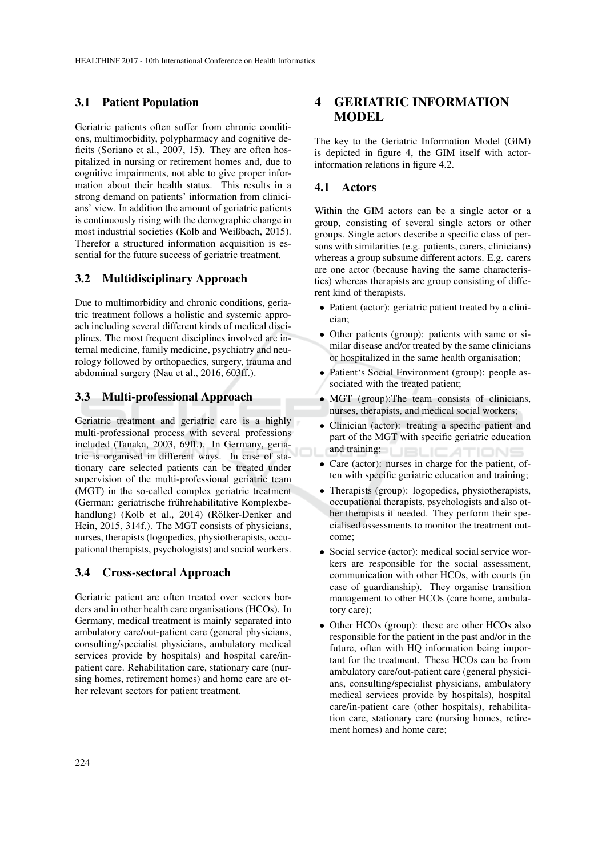### 3.1 Patient Population

Geriatric patients often suffer from chronic conditions, multimorbidity, polypharmacy and cognitive deficits (Soriano et al., 2007, 15). They are often hospitalized in nursing or retirement homes and, due to cognitive impairments, not able to give proper information about their health status. This results in a strong demand on patients' information from clinicians' view. In addition the amount of geriatric patients is continuously rising with the demographic change in most industrial societies (Kolb and Weißbach, 2015). Therefor a structured information acquisition is essential for the future success of geriatric treatment.

### 3.2 Multidisciplinary Approach

Due to multimorbidity and chronic conditions, geriatric treatment follows a holistic and systemic approach including several different kinds of medical disciplines. The most frequent disciplines involved are internal medicine, family medicine, psychiatry and neurology followed by orthopaedics, surgery, trauma and abdominal surgery (Nau et al., 2016, 603ff.).

## 3.3 Multi-professional Approach

Geriatric treatment and geriatric care is a highly multi-professional process with several professions included (Tanaka, 2003, 69ff.). In Germany, geriatric is organised in different ways. In case of stationary care selected patients can be treated under supervision of the multi-professional geriatric team (MGT) in the so-called complex geriatric treatment (German: geriatrische frührehabilitative Komplexbehandlung) (Kolb et al., 2014) (Rölker-Denker and Hein, 2015, 314f.). The MGT consists of physicians, nurses, therapists (logopedics, physiotherapists, occupational therapists, psychologists) and social workers.

### 3.4 Cross-sectoral Approach

Geriatric patient are often treated over sectors borders and in other health care organisations (HCOs). In Germany, medical treatment is mainly separated into ambulatory care/out-patient care (general physicians, consulting/specialist physicians, ambulatory medical services provide by hospitals) and hospital care/inpatient care. Rehabilitation care, stationary care (nursing homes, retirement homes) and home care are other relevant sectors for patient treatment.

## 4 GERIATRIC INFORMATION MODEL

The key to the Geriatric Information Model (GIM) is depicted in figure 4, the GIM itself with actorinformation relations in figure 4.2.

#### 4.1 Actors

Within the GIM actors can be a single actor or a group, consisting of several single actors or other groups. Single actors describe a specific class of persons with similarities (e.g. patients, carers, clinicians) whereas a group subsume different actors. E.g. carers are one actor (because having the same characteristics) whereas therapists are group consisting of different kind of therapists.

- Patient (actor): geriatric patient treated by a clinician;
- Other patients (group): patients with same or similar disease and/or treated by the same clinicians or hospitalized in the same health organisation;
- Patient's Social Environment (group): people associated with the treated patient;
- MGT (group): The team consists of clinicians, nurses, therapists, and medical social workers;
- Clinician (actor): treating a specific patient and part of the MGT with specific geriatric education and training; **JBLICA** TIONS
- Care (actor): nurses in charge for the patient, often with specific geriatric education and training;
- Therapists (group): logopedics, physiotherapists, occupational therapists, psychologists and also other therapists if needed. They perform their specialised assessments to monitor the treatment outcome;
- Social service (actor): medical social service workers are responsible for the social assessment, communication with other HCOs, with courts (in case of guardianship). They organise transition management to other HCOs (care home, ambulatory care);
- Other HCOs (group): these are other HCOs also responsible for the patient in the past and/or in the future, often with HQ information being important for the treatment. These HCOs can be from ambulatory care/out-patient care (general physicians, consulting/specialist physicians, ambulatory medical services provide by hospitals), hospital care/in-patient care (other hospitals), rehabilitation care, stationary care (nursing homes, retirement homes) and home care;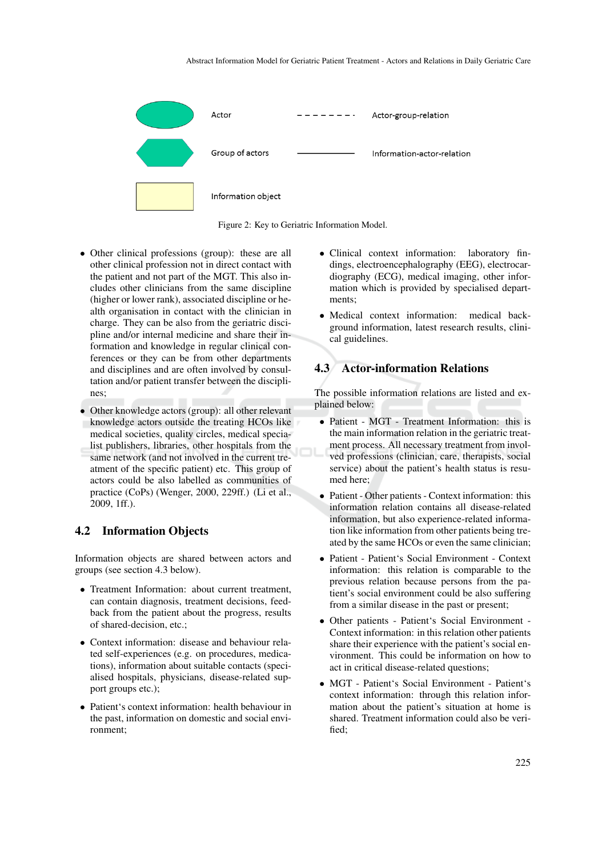| Actor              | Actor-group-relation       |
|--------------------|----------------------------|
| Group of actors    | Information-actor-relation |
| Information object |                            |

Figure 2: Key to Geriatric Information Model.

- Other clinical professions (group): these are all other clinical profession not in direct contact with the patient and not part of the MGT. This also includes other clinicians from the same discipline (higher or lower rank), associated discipline or health organisation in contact with the clinician in charge. They can be also from the geriatric discipline and/or internal medicine and share their information and knowledge in regular clinical conferences or they can be from other departments and disciplines and are often involved by consultation and/or patient transfer between the disciplines;
- Other knowledge actors (group): all other relevant knowledge actors outside the treating HCOs like medical societies, quality circles, medical specialist publishers, libraries, other hospitals from the same network (and not involved in the current treatment of the specific patient) etc. This group of actors could be also labelled as communities of practice (CoPs) (Wenger, 2000, 229ff.) (Li et al., 2009, 1ff.).

### 4.2 Information Objects

Information objects are shared between actors and groups (see section 4.3 below).

- Treatment Information: about current treatment, can contain diagnosis, treatment decisions, feedback from the patient about the progress, results of shared-decision, etc.;
- Context information: disease and behaviour related self-experiences (e.g. on procedures, medications), information about suitable contacts (specialised hospitals, physicians, disease-related support groups etc.);
- Patient's context information: health behaviour in the past, information on domestic and social environment;
- Clinical context information: laboratory findings, electroencephalography (EEG), electrocardiography (ECG), medical imaging, other information which is provided by specialised departments;
- Medical context information: medical background information, latest research results, clinical guidelines.

### 4.3 Actor-information Relations

The possible information relations are listed and explained below:

- Patient MGT Treatment Information: this is the main information relation in the geriatric treatment process. All necessary treatment from involved professions (clinician, care, therapists, social service) about the patient's health status is resumed here;
- Patient Other patients Context information: this information relation contains all disease-related information, but also experience-related information like information from other patients being treated by the same HCOs or even the same clinician;
- Patient Patient's Social Environment Context information: this relation is comparable to the previous relation because persons from the patient's social environment could be also suffering from a similar disease in the past or present;
- Other patients Patient's Social Environment Context information: in this relation other patients share their experience with the patient's social environment. This could be information on how to act in critical disease-related questions;
- MGT Patient's Social Environment Patient's context information: through this relation information about the patient's situation at home is shared. Treatment information could also be verified;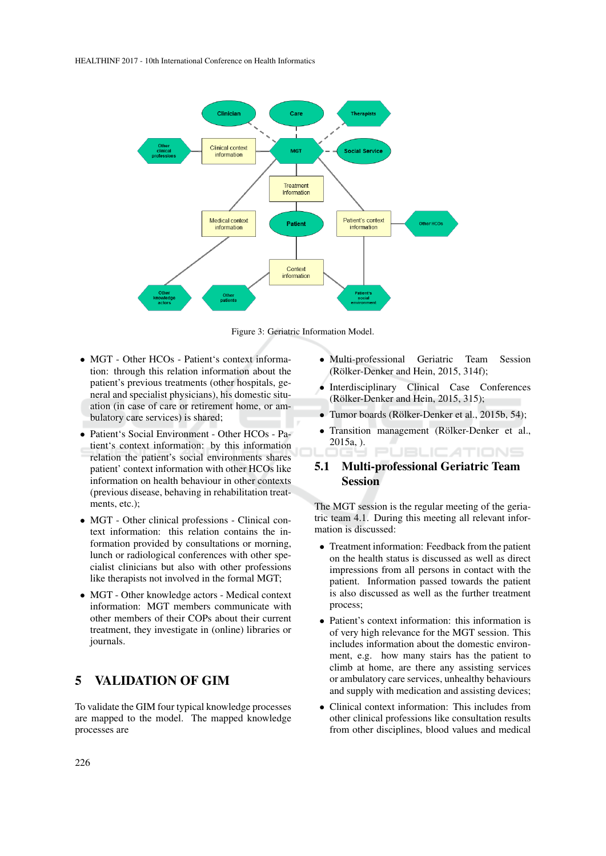

Figure 3: Geriatric Information Model.

- MGT Other HCOs Patient's context information: through this relation information about the patient's previous treatments (other hospitals, general and specialist physicians), his domestic situation (in case of care or retirement home, or ambulatory care services) is shared;
- Patient's Social Environment Other HCOs Patient's context information: by this information relation the patient's social environments shares patient' context information with other HCOs like information on health behaviour in other contexts (previous disease, behaving in rehabilitation treatments, etc.);
- MGT Other clinical professions Clinical context information: this relation contains the information provided by consultations or morning, lunch or radiological conferences with other specialist clinicians but also with other professions like therapists not involved in the formal MGT;
- MGT Other knowledge actors Medical context information: MGT members communicate with other members of their COPs about their current treatment, they investigate in (online) libraries or journals.

## 5 VALIDATION OF GIM

To validate the GIM four typical knowledge processes are mapped to the model. The mapped knowledge processes are

- Multi-professional Geriatric Team Session (Rölker-Denker and Hein, 2015, 314f);
- Interdisciplinary Clinical Case Conferences (Rölker-Denker and Hein, 2015, 315);
- Tumor boards (Rölker-Denker et al., 2015b, 54);
- Transition management (Rölker-Denker et al., 2015a, ). **JBLICATIONS**

## 5.1 Multi-professional Geriatric Team **Session**

The MGT session is the regular meeting of the geriatric team 4.1. During this meeting all relevant information is discussed:

- Treatment information: Feedback from the patient on the health status is discussed as well as direct impressions from all persons in contact with the patient. Information passed towards the patient is also discussed as well as the further treatment process;
- Patient's context information: this information is of very high relevance for the MGT session. This includes information about the domestic environment, e.g. how many stairs has the patient to climb at home, are there any assisting services or ambulatory care services, unhealthy behaviours and supply with medication and assisting devices;
- Clinical context information: This includes from other clinical professions like consultation results from other disciplines, blood values and medical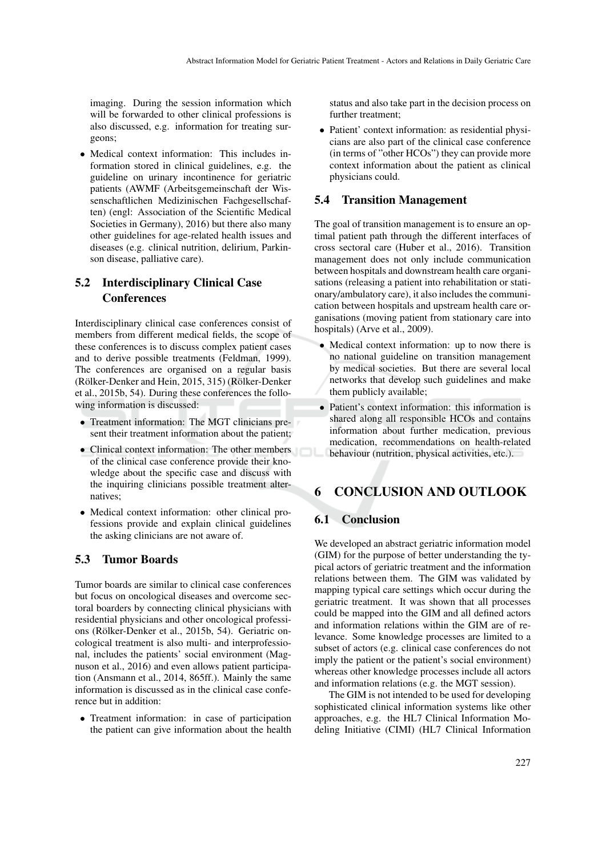imaging. During the session information which will be forwarded to other clinical professions is also discussed, e.g. information for treating surgeons;

• Medical context information: This includes information stored in clinical guidelines, e.g. the guideline on urinary incontinence for geriatric patients (AWMF (Arbeitsgemeinschaft der Wissenschaftlichen Medizinischen Fachgesellschaften) (engl: Association of the Scientific Medical Societies in Germany), 2016) but there also many other guidelines for age-related health issues and diseases (e.g. clinical nutrition, delirium, Parkinson disease, palliative care).

## 5.2 Interdisciplinary Clinical Case **Conferences**

Interdisciplinary clinical case conferences consist of members from different medical fields, the scope of these conferences is to discuss complex patient cases and to derive possible treatments (Feldman, 1999). The conferences are organised on a regular basis (Rölker-Denker and Hein, 2015, 315) (Rölker-Denker et al., 2015b, 54). During these conferences the following information is discussed:

- Treatment information: The MGT clinicians present their treatment information about the patient;
- Clinical context information: The other members of the clinical case conference provide their knowledge about the specific case and discuss with the inquiring clinicians possible treatment alternatives;
- Medical context information: other clinical professions provide and explain clinical guidelines the asking clinicians are not aware of.

### 5.3 Tumor Boards

Tumor boards are similar to clinical case conferences but focus on oncological diseases and overcome sectoral boarders by connecting clinical physicians with residential physicians and other oncological professions (Rölker-Denker et al., 2015b, 54). Geriatric oncological treatment is also multi- and interprofessional, includes the patients' social environment (Magnuson et al., 2016) and even allows patient participation (Ansmann et al., 2014, 865ff.). Mainly the same information is discussed as in the clinical case conference but in addition:

• Treatment information: in case of participation the patient can give information about the health status and also take part in the decision process on further treatment;

• Patient' context information: as residential physicians are also part of the clinical case conference (in terms of "other HCOs") they can provide more context information about the patient as clinical physicians could.

#### 5.4 Transition Management

The goal of transition management is to ensure an optimal patient path through the different interfaces of cross sectoral care (Huber et al., 2016). Transition management does not only include communication between hospitals and downstream health care organisations (releasing a patient into rehabilitation or stationary/ambulatory care), it also includes the communication between hospitals and upstream health care organisations (moving patient from stationary care into hospitals) (Arve et al., 2009).

- Medical context information: up to now there is no national guideline on transition management by medical societies. But there are several local networks that develop such guidelines and make them publicly available;
- Patient's context information: this information is shared along all responsible HCOs and contains information about further medication, previous medication, recommendations on health-related behaviour (nutrition, physical activities, etc.).

## 6 CONCLUSION AND OUTLOOK

### 6.1 Conclusion

We developed an abstract geriatric information model (GIM) for the purpose of better understanding the typical actors of geriatric treatment and the information relations between them. The GIM was validated by mapping typical care settings which occur during the geriatric treatment. It was shown that all processes could be mapped into the GIM and all defined actors and information relations within the GIM are of relevance. Some knowledge processes are limited to a subset of actors (e.g. clinical case conferences do not imply the patient or the patient's social environment) whereas other knowledge processes include all actors and information relations (e.g. the MGT session).

The GIM is not intended to be used for developing sophisticated clinical information systems like other approaches, e.g. the HL7 Clinical Information Modeling Initiative (CIMI) (HL7 Clinical Information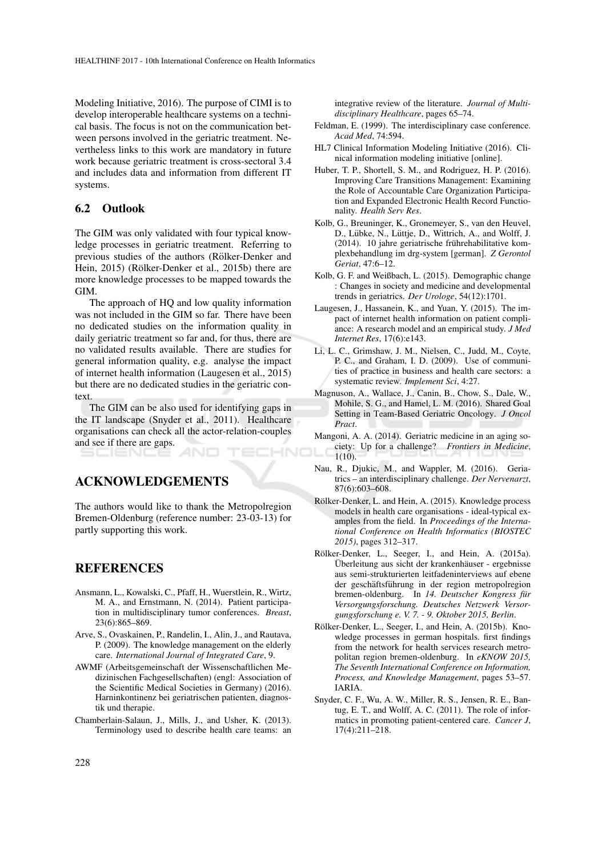Modeling Initiative, 2016). The purpose of CIMI is to develop interoperable healthcare systems on a technical basis. The focus is not on the communication between persons involved in the geriatric treatment. Nevertheless links to this work are mandatory in future work because geriatric treatment is cross-sectoral 3.4 and includes data and information from different IT systems.

### 6.2 Outlook

The GIM was only validated with four typical knowledge processes in geriatric treatment. Referring to previous studies of the authors (Rölker-Denker and Hein, 2015) (Rölker-Denker et al., 2015b) there are more knowledge processes to be mapped towards the GIM.

The approach of HQ and low quality information was not included in the GIM so far. There have been no dedicated studies on the information quality in daily geriatric treatment so far and, for thus, there are no validated results available. There are studies for general information quality, e.g. analyse the impact of internet health information (Laugesen et al., 2015) but there are no dedicated studies in the geriatric context.

The GIM can be also used for identifying gaps in the IT landscape (Snyder et al., 2011). Healthcare organisations can check all the actor-relation-couples and see if there are gaps. HNC

ACKNOWLEDGEMENTS

The authors would like to thank the Metropolregion Bremen-Oldenburg (reference number: 23-03-13) for partly supporting this work.

## REFERENCES

- Ansmann, L., Kowalski, C., Pfaff, H., Wuerstlein, R., Wirtz, M. A., and Ernstmann, N. (2014). Patient participation in multidisciplinary tumor conferences. *Breast*, 23(6):865–869.
- Arve, S., Ovaskainen, P., Randelin, I., Alin, J., and Rautava, P. (2009). The knowledge management on the elderly care. *International Journal of Integrated Care*, 9.
- AWMF (Arbeitsgemeinschaft der Wissenschaftlichen Medizinischen Fachgesellschaften) (engl: Association of the Scientific Medical Societies in Germany) (2016). Harninkontinenz bei geriatrischen patienten, diagnostik und therapie.
- Chamberlain-Salaun, J., Mills, J., and Usher, K. (2013). Terminology used to describe health care teams: an

integrative review of the literature. *Journal of Multidisciplinary Healthcare*, pages 65–74.

- Feldman, E. (1999). The interdisciplinary case conference. *Acad Med*, 74:594.
- HL7 Clinical Information Modeling Initiative (2016). Clinical information modeling initiative [online].
- Huber, T. P., Shortell, S. M., and Rodriguez, H. P. (2016). Improving Care Transitions Management: Examining the Role of Accountable Care Organization Participation and Expanded Electronic Health Record Functionality. *Health Serv Res*.
- Kolb, G., Breuninger, K., Gronemeyer, S., van den Heuvel, D., Lübke, N., Lüttje, D., Wittrich, A., and Wolff, J. (2014). 10 jahre geriatrische frührehabilitative komplexbehandlung im drg-system [german]. *Z Gerontol Geriat*, 47:6–12.
- Kolb, G. F. and Weißbach, L. (2015). Demographic change : Changes in society and medicine and developmental trends in geriatrics. *Der Urologe*, 54(12):1701.
- Laugesen, J., Hassanein, K., and Yuan, Y. (2015). The impact of internet health information on patient compliance: A research model and an empirical study. *J Med Internet Res*, 17(6):e143.
- Li, L. C., Grimshaw, J. M., Nielsen, C., Judd, M., Coyte, P. C., and Graham, I. D. (2009). Use of communities of practice in business and health care sectors: a systematic review. *Implement Sci*, 4:27.
- Magnuson, A., Wallace, J., Canin, B., Chow, S., Dale, W., Mohile, S. G., and Hamel, L. M. (2016). Shared Goal Setting in Team-Based Geriatric Oncology. *J Oncol Pract*.
- Mangoni, A. A. (2014). Geriatric medicine in an aging society: Up for a challenge? *Frontiers in Medicine*, 1(10).
- Nau, R., Djukic, M., and Wappler, M. (2016). Geriatrics – an interdisciplinary challenge. *Der Nervenarzt*, 87(6):603–608.
- Rölker-Denker, L. and Hein, A. (2015). Knowledge process models in health care organisations - ideal-typical examples from the field. In *Proceedings of the International Conference on Health Informatics (BIOSTEC 2015)*, pages 312–317.
- Rölker-Denker, L., Seeger, I., and Hein, A. (2015a). Überleitung aus sicht der krankenhäuser - ergebnisse aus semi-strukturierten leitfadeninterviews auf ebene der geschäftsführung in der region metropolregion bremen-oldenburg. In 14. Deutscher Kongress für *Versorgungsforschung. Deutsches Netzwerk Versorgungsforschung e. V. 7. - 9. Oktober 2015, Berlin*.
- Rölker-Denker, L., Seeger, I., and Hein, A. (2015b). Knowledge processes in german hospitals. first findings from the network for health services research metropolitan region bremen-oldenburg. In *eKNOW 2015, The Seventh International Conference on Information, Process, and Knowledge Management*, pages 53–57. IARIA.
- Snyder, C. F., Wu, A. W., Miller, R. S., Jensen, R. E., Bantug, E. T., and Wolff, A. C. (2011). The role of informatics in promoting patient-centered care. *Cancer J*, 17(4):211–218.